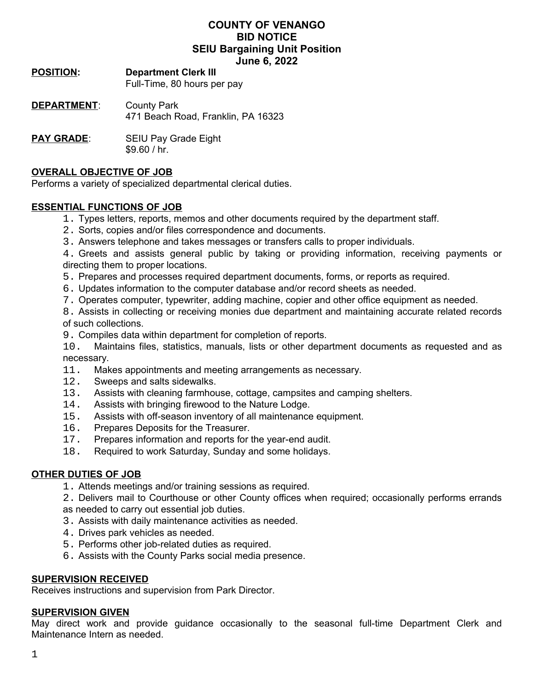# **COUNTY OF VENANGO BID NOTICE SEIU Bargaining Unit Position June 6, 2022**

# **POSITION: Department Clerk III**

Full-Time, 80 hours per pay

- **DEPARTMENT**: County Park 471 Beach Road, Franklin, PA 16323
- **PAY GRADE:** SEIU Pay Grade Eight \$9.60 / hr.

# **OVERALL OBJECTIVE OF JOB**

Performs a variety of specialized departmental clerical duties.

# **ESSENTIAL FUNCTIONS OF JOB**

- 1. Types letters, reports, memos and other documents required by the department staff.
- 2. Sorts, copies and/or files correspondence and documents.
- 3. Answers telephone and takes messages or transfers calls to proper individuals.

4. Greets and assists general public by taking or providing information, receiving payments or directing them to proper locations.

- 5. Prepares and processes required department documents, forms, or reports as required.
- 6. Updates information to the computer database and/or record sheets as needed.
- 7. Operates computer, typewriter, adding machine, copier and other office equipment as needed.

8. Assists in collecting or receiving monies due department and maintaining accurate related records of such collections.

9. Compiles data within department for completion of reports.

10. Maintains files, statistics, manuals, lists or other department documents as requested and as necessary.

- 11. Makes appointments and meeting arrangements as necessary.
- 12. Sweeps and salts sidewalks.
- 13. Assists with cleaning farmhouse, cottage, campsites and camping shelters.
- 14. Assists with bringing firewood to the Nature Lodge.
- 15. Assists with off-season inventory of all maintenance equipment.
- 16. Prepares Deposits for the Treasurer.
- 17. Prepares information and reports for the year-end audit.
- 18. Required to work Saturday, Sunday and some holidays.

#### **OTHER DUTIES OF JOB**

1. Attends meetings and/or training sessions as required.

2. Delivers mail to Courthouse or other County offices when required; occasionally performs errands as needed to carry out essential job duties.

- 3. Assists with daily maintenance activities as needed.
- 4. Drives park vehicles as needed.
- 5. Performs other job-related duties as required.
- 6. Assists with the County Parks social media presence.

#### **SUPERVISION RECEIVED**

Receives instructions and supervision from Park Director.

#### **SUPERVISION GIVEN**

May direct work and provide guidance occasionally to the seasonal full-time Department Clerk and Maintenance Intern as needed.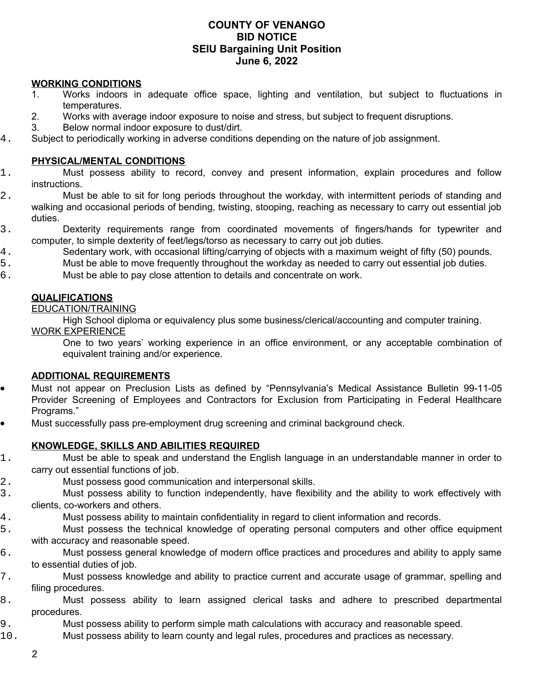# **COUNTY OF VENANGO BID NOTICE SEIU Bargaining Unit Position June 6, 2022**

## **WORKING CONDITIONS**

- 1. Works indoors in adequate office space, lighting and ventilation, but subject to fluctuations in temperatures.
- 2. Works with average indoor exposure to noise and stress, but subject to frequent disruptions.
- 3. Below normal indoor exposure to dust/dirt.
- 4. Subject to periodically working in adverse conditions depending on the nature of job assignment.

## **PHYSICAL/MENTAL CONDITIONS**

- 1. Must possess ability to record, convey and present information, explain procedures and follow instructions.
- 2. Must be able to sit for long periods throughout the workday, with intermittent periods of standing and walking and occasional periods of bending, twisting, stooping, reaching as necessary to carry out essential job duties.
- 3. Dexterity requirements range from coordinated movements of fingers/hands for typewriter and computer, to simple dexterity of feet/legs/torso as necessary to carry out job duties.
- 4. Sedentary work, with occasional lifting/carrying of objects with a maximum weight of fifty (50) pounds.
- 5. Must be able to move frequently throughout the workday as needed to carry out essential job duties.
- 6. Must be able to pay close attention to details and concentrate on work.

# **QUALIFICATIONS**

#### EDUCATION/TRAINING

High School diploma or equivalency plus some business/clerical/accounting and computer training. WORK EXPERIENCE

One to two years' working experience in an office environment, or any acceptable combination of equivalent training and/or experience.

## **ADDITIONAL REQUIREMENTS**

- Must not appear on Preclusion Lists as defined by "Pennsylvania's Medical Assistance Bulletin 99-11-05 Provider Screening of Employees and Contractors for Exclusion from Participating in Federal Healthcare Programs."
- Must successfully pass pre-employment drug screening and criminal background check.

# **KNOWLEDGE, SKILLS AND ABILITIES REQUIRED**

- 1. Must be able to speak and understand the English language in an understandable manner in order to carry out essential functions of job.
- 2. Must possess good communication and interpersonal skills.
- 3. Must possess ability to function independently, have flexibility and the ability to work effectively with clients, co-workers and others.
- 4. Must possess ability to maintain confidentiality in regard to client information and records.
- 5. Must possess the technical knowledge of operating personal computers and other office equipment with accuracy and reasonable speed.
- 6. Must possess general knowledge of modern office practices and procedures and ability to apply same to essential duties of job.
- 7. Must possess knowledge and ability to practice current and accurate usage of grammar, spelling and filing procedures.
- 8. Must possess ability to learn assigned clerical tasks and adhere to prescribed departmental procedures.
- 9. Must possess ability to perform simple math calculations with accuracy and reasonable speed.
- 10. Must possess ability to learn county and legal rules, procedures and practices as necessary.